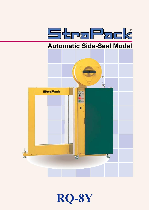

# **Automatic Side-Seal Model**



**RQ-8Y**